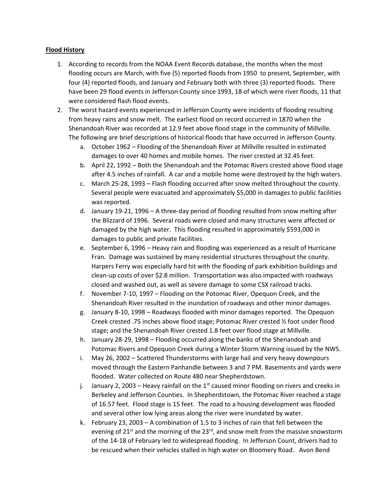## **Flood History**

- 1. According to records from the NOAA Event Records database, the months when the most flooding occurs are March, with five (5) reported floods from 1950 to present, September, with four (4) reported floods, and January and February both with three (3) reported floods. There have been 29 flood events in Jefferson County since 1993, 18 of which were river floods, 11 that were considered flash flood events.
- 2. The worst hazard events experienced in Jefferson County were incidents of flooding resulting from heavy rains and snow melt. The earliest flood on record occurred in 1870 when the Shenandoah River was recorded at 12.9 feet above flood stage in the community of Millville. The following are brief descriptions of historical floods that have occurred in Jefferson County.
	- a. October 1962 Flooding of the Shenandoah River at Millville resulted in estimated damages to over 40 homes and mobile homes. The river crested at 32.45 feet.
	- b. April 22, 1992 Both the Shenandoah and the Potomac Rivers crested above flood stage after 4.5 inches of rainfall. A car and a mobile home were destroyed by the high waters.
	- c. March 25-28, 1993 Flash flooding occurred after snow melted throughout the county. Several people were evacuated and approximately \$5,000 in damages to public facilities was reported.
	- d. January 19-21, 1996 A three-day period of flooding resulted from snow melting after the Blizzard of 1996. Several roads were closed and many structures were affected or damaged by the high water. This flooding resulted in approximately \$593,000 in damages to public and private facilities.
	- e. September 6, 1996 Heavy rain and flooding was experienced as a result of Hurricane Fran. Damage was sustained by many residential structures throughout the county. Harpers Ferry was especially hard hit with the flooding of park exhibition buildings and clean-up costs of over \$2.8 million. Transportation was also impacted with roadways closed and washed out, as well as severe damage to some CSX railroad tracks.
	- f. November 7-10, 1997 Flooding on the Potomac River, Opequon Creek, and the Shenandoah River resulted in the inundation of roadways and other minor damages.
	- g. January 8-10, 1998 Roadways flooded with minor damages reported. The Opequon Creek crested .75 inches above flood stage; Potomac River crested ½ foot under flood stage; and the Shenandoah River crested 1.8 feet over flood stage at Millville.
	- h. January 28-29, 1998 Flooding occurred along the banks of the Shenandoah and Potomac Rivers and Opequon Creek during a Winter Storm Warning issued by the NWS.
	- i. May 26, 2002 Scattered Thunderstorms with large hail and very heavy downpours moved through the Eastern Panhandle between 3 and 7 PM. Basements and yards were flooded. Water collected on Route 480 near Shepherdstown.
	- j. January 2, 2003 Heavy rainfall on the  $1<sup>st</sup>$  caused minor flooding on rivers and creeks in Berkeley and Jefferson Counties. In Shepherdstown, the Potomac River reached a stage of 16.57 feet. Flood stage is 15 feet. The road to a housing development was flooded and several other low lying areas along the river were inundated by water.
	- k. February 23, 2003 A combination of 1.5 to 3 inches of rain that fell between the evening of  $21^{st}$  and the morning of the  $23^{rd}$ , and snow melt from the massive snowstorm of the 14-18 of February led to widespread flooding. In Jefferson Count, drivers had to be rescued when their vehicles stalled in high water on Bloomery Road. Avon Bend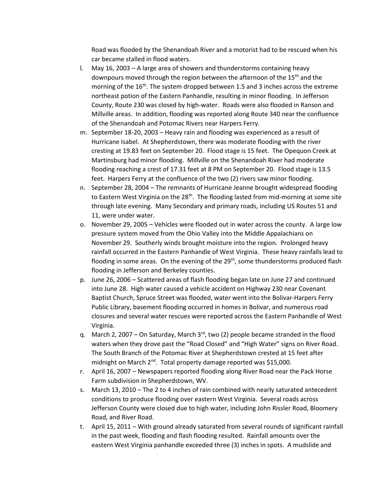Road was flooded by the Shenandoah River and a motorist had to be rescued when his car became stalled in flood waters.

- l. May 16, 2003 A large area of showers and thunderstorms containing heavy downpours moved through the region between the afternoon of the 15<sup>th</sup> and the morning of the 16<sup>th</sup>. The system dropped between 1.5 and 3 inches across the extreme northeast potion of the Eastern Panhandle, resulting in minor flooding. In Jefferson County, Route 230 was closed by high-water. Roads were also flooded in Ranson and Millville areas. In addition, flooding was reported along Route 340 near the confluence of the Shenandoah and Potomac Rivers near Harpers Ferry.
- m. September 18-20, 2003 Heavy rain and flooding was experienced as a result of Hurricane Isabel. At Shepherdstown, there was moderate flooding with the river cresting at 19.83 feet on September 20. Flood stage is 15 feet. The Opequon Creek at Martinsburg had minor flooding. Millville on the Shenandoah River had moderate flooding reaching a crest of 17.31 feet at 8 PM on September 20. Flood stage is 13.5 feet. Harpers Ferry at the confluence of the two (2) rivers saw minor flooding.
- n. September 28, 2004 The remnants of Hurricane Jeanne brought widespread flooding to Eastern West Virginia on the  $28<sup>th</sup>$ . The flooding lasted from mid-morning at some site through late evening. Many Secondary and primary roads, including US Routes 51 and 11, were under water.
- o. November 29, 2005 Vehicles were flooded out in water across the county. A large low pressure system moved from the Ohio Valley into the Middle Appalachians on November 29. Southerly winds brought moisture into the region. Prolonged heavy rainfall occurred in the Eastern Panhandle of West Virginia. These heavy rainfalls lead to flooding in some areas. On the evening of the 29<sup>th</sup>, some thunderstorms produced flash flooding in Jefferson and Berkeley counties.
- p. June 26, 2006 Scattered areas of flash flooding began late on June 27 and continued into June 28. High water caused a vehicle accident on Highway 230 near Covenant Baptist Church, Spruce Street was flooded, water went into the Bolivar-Harpers Ferry Public Library, basement flooding occurred in homes in Bolivar, and numerous road closures and several water rescues were reported across the Eastern Panhandle of West Virginia.
- q. March 2, 2007 On Saturday, March  $3<sup>rd</sup>$ , two (2) people became stranded in the flood waters when they drove past the "Road Closed" and "High Water" signs on River Road. The South Branch of the Potomac River at Shepherdstown crested at 15 feet after midnight on March  $2^{nd}$ . Total property damage reported was \$15,000.
- r. April 16, 2007 Newspapers reported flooding along River Road near the Pack Horse Farm subdivision in Shepherdstown, WV.
- s. March 13, 2010 The 2 to 4 inches of rain combined with nearly saturated antecedent conditions to produce flooding over eastern West Virginia. Several roads across Jefferson County were closed due to high water, including John Rissler Road, Bloomery Road, and River Road.
- t. April 15, 2011 With ground already saturated from several rounds of significant rainfall in the past week, flooding and flash flooding resulted. Rainfall amounts over the eastern West Virginia panhandle exceeded three (3) inches in spots. A mudslide and